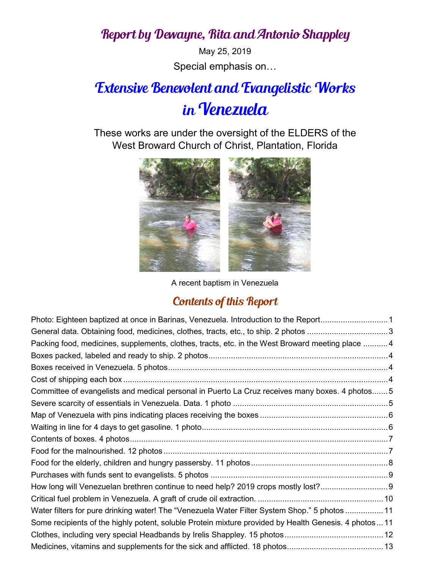## Report by Dewayne, Rita and Antonio Shappley

May 25, 2019 Special emphasis on…

## Extensive Benevolent and Evangelistic Works in Venezuela

These works are under the oversight of the ELDERS of the West Broward Church of Christ, Plantation, Florida



A recent baptism in Venezuela

## Contents of this Report

| Photo: Eighteen baptized at once in Barinas, Venezuela. Introduction to the Report1                    |  |
|--------------------------------------------------------------------------------------------------------|--|
| General data. Obtaining food, medicines, clothes, tracts, etc., to ship. 2 photos 3                    |  |
| Packing food, medicines, supplements, clothes, tracts, etc. in the West Broward meeting place 4        |  |
|                                                                                                        |  |
|                                                                                                        |  |
|                                                                                                        |  |
| Committee of evangelists and medical personal in Puerto La Cruz receives many boxes. 4 photos 5        |  |
|                                                                                                        |  |
|                                                                                                        |  |
|                                                                                                        |  |
|                                                                                                        |  |
|                                                                                                        |  |
|                                                                                                        |  |
|                                                                                                        |  |
| How long will Venezuelan brethren continue to need help? 2019 crops mostly lost?                       |  |
|                                                                                                        |  |
| Water filters for pure drinking water! The "Venezuela Water Filter System Shop." 5 photos  11          |  |
| Some recipients of the highly potent, soluble Protein mixture provided by Health Genesis. 4 photos  11 |  |
|                                                                                                        |  |
|                                                                                                        |  |